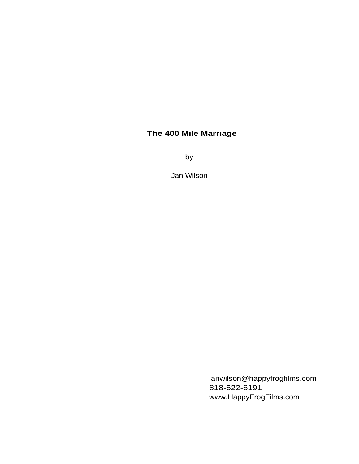# **The 400 Mile Marriage**

by

Jan Wilson

janwilson@happyfrogfilms.com 818-522-6191 www.HappyFrogFilms.com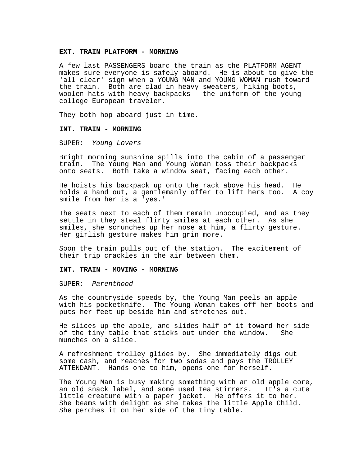### **EXT. TRAIN PLATFORM - MORNING**

A few last PASSENGERS board the train as the PLATFORM AGENT makes sure everyone is safely aboard. He is about to give the 'all clear' sign when a YOUNG MAN and YOUNG WOMAN rush toward the train. Both are clad in heavy sweaters, hiking boots, woolen hats with heavy backpacks - the uniform of the young college European traveler.

They both hop aboard just in time.

## **INT. TRAIN - MORNING**

SUPER: Young Lovers

Bright morning sunshine spills into the cabin of a passenger train. The Young Man and Young Woman toss their backpacks onto seats. Both take a window seat, facing each other.

He hoists his backpack up onto the rack above his head. He holds a hand out, a gentlemanly offer to lift hers too. A coy smile from her is a 'yes.'

The seats next to each of them remain unoccupied, and as they settle in they steal flirty smiles at each other. As she smiles, she scrunches up her nose at him, a flirty gesture. Her girlish gesture makes him grin more.

Soon the train pulls out of the station. The excitement of their trip crackles in the air between them.

#### **INT. TRAIN - MOVING - MORNING**

SUPER: Parenthood

As the countryside speeds by, the Young Man peels an apple with his pocketknife. The Young Woman takes off her boots and puts her feet up beside him and stretches out.

He slices up the apple, and slides half of it toward her side of the tiny table that sticks out under the window. She munches on a slice.

A refreshment trolley glides by. She immediately digs out some cash, and reaches for two sodas and pays the TROLLEY ATTENDANT. Hands one to him, opens one for herself.

The Young Man is busy making something with an old apple core, an old snack label, and some used tea stirrers. It's a cute little creature with a paper jacket. He offers it to her. She beams with delight as she takes the little Apple Child. She perches it on her side of the tiny table.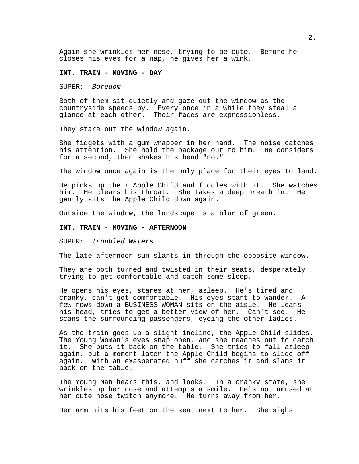Again she wrinkles her nose, trying to be cute. Before he closes his eyes for a nap, he gives her a wink.

### **INT. TRAIN - MOVING - DAY**

SUPER: Boredom

Both of them sit quietly and gaze out the window as the countryside speeds by. Every once in a while they steal a glance at each other. Their faces are expressionless.

They stare out the window again.

She fidgets with a gum wrapper in her hand. The noise catches his attention. She hold the package out to him. He considers for a second, then shakes his head "no."

The window once again is the only place for their eyes to land.

He picks up their Apple Child and fiddles with it. She watches him. He clears his throat. She takes a deep breath in. He gently sits the Apple Child down again.

Outside the window, the landscape is a blur of green.

#### **INT. TRAIN - MOVING - AFTERNOON**

SUPER: Troubled Waters

The late afternoon sun slants in through the opposite window.

They are both turned and twisted in their seats, desperately trying to get comfortable and catch some sleep.

He opens his eyes, stares at her, asleep. He's tired and cranky, can't get comfortable. His eyes start to wander. A few rows down a BUSINESS WOMAN sits on the aisle. He leans his head, tries to get a better view of her. Can't see. He scans the surrounding passengers, eyeing the other ladies.

As the train goes up a slight incline, the Apple Child slides. The Young Woman's eyes snap open, and she reaches out to catch it. She puts it back on the table. She tries to fall asleep again, but a moment later the Apple Child begins to slide off again. With an exasperated huff she catches it and slams it back on the table.

The Young Man hears this, and looks. In a cranky state, she wrinkles up her nose and attempts a smile. He's not amused at her cute nose twitch anymore. He turns away from her.

Her arm hits his feet on the seat next to her. She sighs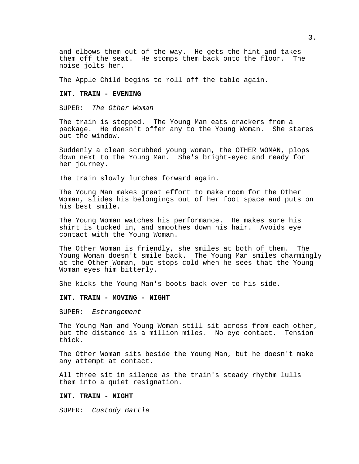and elbows them out of the way. He gets the hint and takes them off the seat. He stomps them back onto the floor. The noise jolts her.

The Apple Child begins to roll off the table again.

### **INT. TRAIN - EVENING**

SUPER: The Other Woman

The train is stopped. The Young Man eats crackers from a package. He doesn't offer any to the Young Woman. She stares out the window.

Suddenly a clean scrubbed young woman, the OTHER WOMAN, plops down next to the Young Man. She's bright-eyed and ready for her journey.

The train slowly lurches forward again.

The Young Man makes great effort to make room for the Other Woman, slides his belongings out of her foot space and puts on his best smile.

The Young Woman watches his performance. He makes sure his shirt is tucked in, and smoothes down his hair. Avoids eye contact with the Young Woman.

The Other Woman is friendly, she smiles at both of them. The Young Woman doesn't smile back. The Young Man smiles charmingly at the Other Woman, but stops cold when he sees that the Young Woman eyes him bitterly.

She kicks the Young Man's boots back over to his side.

#### **INT. TRAIN - MOVING - NIGHT**

SUPER: Estrangement

The Young Man and Young Woman still sit across from each other, but the distance is a million miles. No eye contact. Tension thick.

The Other Woman sits beside the Young Man, but he doesn't make any attempt at contact.

All three sit in silence as the train's steady rhythm lulls them into a quiet resignation.

## **INT. TRAIN - NIGHT**

SUPER: Custody Battle